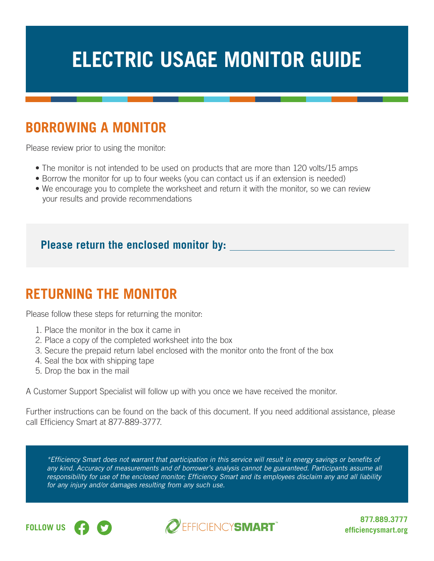# **ELECTRIC USAGE MONITOR GUIDE**

## **BORROWING A MONITOR**

Please review prior to using the monitor:

- The monitor is not intended to be used on products that are more than 120 volts/15 amps
- Borrow the monitor for up to four weeks (you can contact us if an extension is needed)
- We encourage you to complete the worksheet and return it with the monitor, so we can review your results and provide recommendations

#### **Please return the enclosed monitor by:**

### **RETURNING THE MONITOR**

Please follow these steps for returning the monitor:

- 1. Place the monitor in the box it came in
- 2. Place a copy of the completed worksheet into the box
- 3. Secure the prepaid return label enclosed with the monitor onto the front of the box
- 4. Seal the box with shipping tape
- 5. Drop the box in the mail

A Customer Support Specialist will follow up with you once we have received the monitor.

Further instructions can be found on the back of this document. If you need additional assistance, please call Efficiency Smart at 877-889-3777.

\*Efficiency Smart does not warrant that participation in this service will result in energy savings or benefits of any kind. Accuracy of measurements and of borrower's analysis cannot be guaranteed. Participants assume all responsibility for use of the enclosed monitor; Efficiency Smart and its employees disclaim any and all liability for any injury and/or damages resulting from any such use.





**877.889.3777**